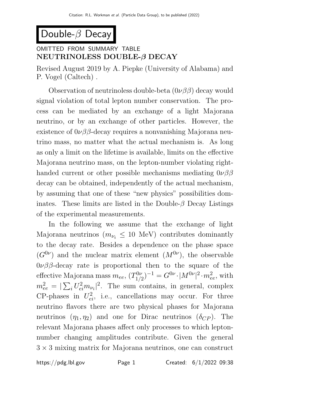# Double- $\beta$  Decay

# OMITTED FROM SUMMARY TABLE NEUTRINOLESS DOUBLE-β DECAY

Revised August 2019 by A. Piepke (University of Alabama) and P. Vogel (Caltech) .

Observation of neutrinoless double-beta  $(0\nu\beta\beta)$  decay would signal violation of total lepton number conservation. The process can be mediated by an exchange of a light Majorana neutrino, or by an exchange of other particles. However, the existence of  $0\nu\beta\beta$ -decay requires a nonvanishing Majorana neutrino mass, no matter what the actual mechanism is. As long as only a limit on the lifetime is available, limits on the effective Majorana neutrino mass, on the lepton-number violating righthanded current or other possible mechanisms mediating  $0\nu\beta\beta$ decay can be obtained, independently of the actual mechanism, by assuming that one of these "new physics" possibilities dominates. These limits are listed in the Double- $\beta$  Decay Listings of the experimental measurements.

In the following we assume that the exchange of light Majorana neutrinos ( $m_{\nu_i} \leq 10$  MeV) contributes dominantly to the decay rate. Besides a dependence on the phase space  $(G^{0\nu})$  and the nuclear matrix element  $(M^{0\nu})$ , the observable  $0\nu\beta\beta$ -decay rate is proportional then to the square of the effective Majorana mass  $m_{ee}$ ,  $(T_{1/2}^{0\nu})$  $(T_{1/2}^{0\nu})^{-1} = G^{0\nu} \cdot |M^{0\nu}|^2 \cdot m_{ee}^2$ , with  $m_{ee}^2 = |\sum_i U_{ei}^2 m_{\nu_i}|^2$ . The sum contains, in general, complex CP-phases in  $U_{ei}^2$ , i.e., cancellations may occur. For three neutrino flavors there are two physical phases for Majorana neutrinos  $(\eta_1, \eta_2)$  and one for Dirac neutrinos  $(\delta_{CP})$ . The relevant Majorana phases affect only processes to which leptonnumber changing amplitudes contribute. Given the general  $3 \times 3$  mixing matrix for Majorana neutrinos, one can construct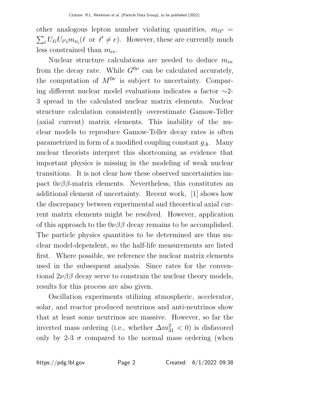other analogous lepton number violating quantities,  $m_{\ell\ell'} =$  $\sum_i U_{\ell i} U_{\ell' i} m_{\nu_i} (\ell \text{ or } \ell' \neq e)$ . However, these are currently much less constrained than  $m_{ee}$ .

Nuclear structure calculations are needed to deduce  $m_{ee}$ from the decay rate. While  $G^{0\nu}$  can be calculated accurately, the computation of  $M^{0\nu}$  is subject to uncertainty. Comparing different nuclear model evaluations indicates a factor ∼2- 3 spread in the calculated nuclear matrix elements. Nuclear structure calculation consistently overestimate Gamow-Teller (axial current) matrix elements. This inability of the nuclear models to reproduce Gamow-Teller decay rates is often parametrized in form of a modified coupling constant  $g_A$ . Many nuclear theorists interpret this shortcoming as evidence that important physics is missing in the modeling of weak nuclear transitions. It is not clear how these observed uncertainties impact  $0\nu\beta\beta$ -matrix elements. Nevertheless, this constitutes an additional element of uncertainty. Recent work, [1] shows how the discrepancy between experimental and theoretical axial current matrix elements might be resolved. However, application of this approach to the  $0\nu\beta\beta$  decay remains to be accomplished. The particle physics quantities to be determined are thus nuclear model-dependent, so the half-life measurements are listed first. Where possible, we reference the nuclear matrix elements used in the subsequent analysis. Since rates for the conventional  $2\nu\beta\beta$  decay serve to constrain the nuclear theory models, results for this process are also given.

Oscillation experiments utilizing atmospheric, accelerator, solar, and reactor produced neutrinos and anti-neutrinos show that at least some neutrinos are massive. However, so far the inverted mass ordering (i.e., whether  $\Delta m_{31}^2 < 0$ ) is disfavored only by 2-3  $\sigma$  compared to the normal mass ordering (when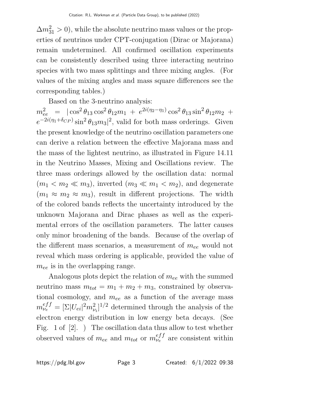$\Delta m_{31}^2 > 0$ , while the absolute neutrino mass values or the properties of neutrinos under CPT-conjugation (Dirac or Majorana) remain undetermined. All confirmed oscillation experiments can be consistently described using three interacting neutrino species with two mass splittings and three mixing angles. (For values of the mixing angles and mass square differences see the corresponding tables.)

Based on the 3-neutrino analysis:

 $m_{ee}^2$  =  $|\cos^2 \theta_{13} \cos^2 \theta_{12} m_1 + e^{2i(\eta_2 - \eta_1)} \cos^2 \theta_{13} \sin^2 \theta_{12} m_2 +$  $e^{-2i(\eta_1+\delta_{CP})}\sin^2\theta_{13}m_3|^2$ , valid for both mass orderings. Given the present knowledge of the neutrino oscillation parameters one can derive a relation between the effective Majorana mass and the mass of the lightest neutrino, as illustrated in Figure 14.11 in the Neutrino Masses, Mixing and Oscillations review. The three mass orderings allowed by the oscillation data: normal  $(m_1 < m_2 \ll m_3)$ , inverted  $(m_3 \ll m_1 < m_2)$ , and degenerate  $(m_1 \approx m_2 \approx m_3)$ , result in different projections. The width of the colored bands reflects the uncertainty introduced by the unknown Majorana and Dirac phases as well as the experimental errors of the oscillation parameters. The latter causes only minor broadening of the bands. Because of the overlap of the different mass scenarios, a measurement of  $m_{ee}$  would not reveal which mass ordering is applicable, provided the value of  $m_{ee}$  is in the overlapping range.

Analogous plots depict the relation of  $m_{ee}$  with the summed neutrino mass  $m_{tot} = m_1 + m_2 + m_3$ , constrained by observational cosmology, and  $m_{ee}$  as a function of the average mass  $m_{\nu_e}^{eff} = [\Sigma |U_{ei}|^2 m_{\nu_i}^2]^{1/2}$  determined through the analysis of the electron energy distribution in low energy beta decays. (See Fig. 1 of [2]. ) The oscillation data thus allow to test whether observed values of  $m_{ee}$  and  $m_{tot}$  or  $m_{\nu}^{eff}$  are consistent within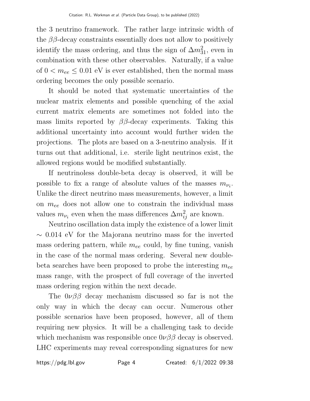the 3 neutrino framework. The rather large intrinsic width of the  $\beta\beta$ -decay constraints essentially does not allow to positively identify the mass ordering, and thus the sign of  $\Delta m_{31}^2$ , even in combination with these other observables. Naturally, if a value of  $0 < m_{ee} \leq 0.01$  eV is ever established, then the normal mass ordering becomes the only possible scenario.

It should be noted that systematic uncertainties of the nuclear matrix elements and possible quenching of the axial current matrix elements are sometimes not folded into the mass limits reported by  $\beta\beta$ -decay experiments. Taking this additional uncertainty into account would further widen the projections. The plots are based on a 3-neutrino analysis. If it turns out that additional, i.e. sterile light neutrinos exist, the allowed regions would be modified substantially.

If neutrinoless double-beta decay is observed, it will be possible to fix a range of absolute values of the masses  $m_{\nu_i}$ . Unlike the direct neutrino mass measurements, however, a limit on  $m_{ee}$  does not allow one to constrain the individual mass values  $m_{\nu_i}$  even when the mass differences  $\Delta m_{ij}^2$  are known.

Neutrino oscillation data imply the existence of a lower limit  $\sim$  0.014 eV for the Majorana neutrino mass for the inverted mass ordering pattern, while  $m_{ee}$  could, by fine tuning, vanish in the case of the normal mass ordering. Several new doublebeta searches have been proposed to probe the interesting  $m_{ee}$ mass range, with the prospect of full coverage of the inverted mass ordering region within the next decade.

The  $0\nu\beta\beta$  decay mechanism discussed so far is not the only way in which the decay can occur. Numerous other possible scenarios have been proposed, however, all of them requiring new physics. It will be a challenging task to decide which mechanism was responsible once  $0\nu\beta\beta$  decay is observed. LHC experiments may reveal corresponding signatures for new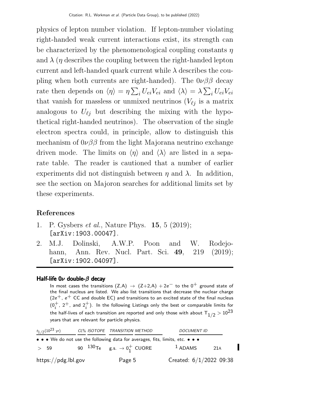physics of lepton number violation. If lepton-number violating right-handed weak current interactions exist, its strength can be characterized by the phenomenological coupling constants  $n$ and  $\lambda$  (*n* describes the coupling between the right-handed lepton current and left-handed quark current while  $\lambda$  describes the coupling when both currents are right-handed). The  $0\nu\beta\beta$  decay rate then depends on  $\langle \eta \rangle = \eta \sum_i U_{ei} V_{ei}$  and  $\langle \lambda \rangle = \lambda \sum_i U_{ei} V_{ei}$ that vanish for massless or unmixed neutrinos  $(V_{\ell j})$  is a matrix analogous to  $U_{\ell j}$  but describing the mixing with the hypothetical right-handed neutrinos). The observation of the single electron spectra could, in principle, allow to distinguish this mechanism of  $0\nu\beta\beta$  from the light Majorana neutrino exchange driven mode. The limits on  $\langle \eta \rangle$  and  $\langle \lambda \rangle$  are listed in a separate table. The reader is cautioned that a number of earlier experiments did not distinguish between  $\eta$  and  $\lambda$ . In addition, see the section on Majoron searches for additional limits set by these experiments.

# References

- 1. P. Gysbers et al., Nature Phys. 15, 5 (2019); [arXiv:1903.00047].
- 2. M.J. Dolinski, A.W.P. Poon and W. Rodejohann, Ann. Rev. Nucl. Part. Sci. 49, 219 (2019); [arXiv:1902.04097].

### Half-life  $0\nu$  double- $\beta$  decay

In most cases the transitions  $(Z,A) \rightarrow (Z+2,A) + 2e^-$  to the 0<sup>+</sup> ground state of the final nucleus are listed. We also list transitions that decrease the nuclear charge  $(2e^+, e^+$  CC and double EC) and transitions to an excited state of the final nucleus  $(0_i^+$ ,  $2^+$ , and  $2_i^+$ ). In the following Listings only the best or comparable limits for the half-lives of each transition are reported and only those with about  $\rm T_{1/2}$   $>$   $10^{23}$ years that are relevant for particle physics.

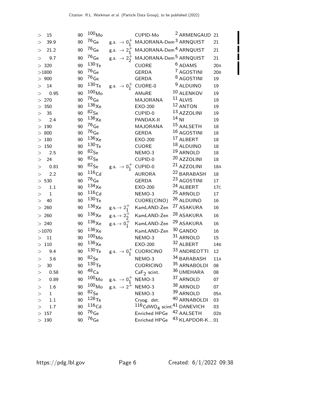| >        | 15           | 90 | $100\rm\,Mo$         |                                          | CUPID-Mo                                                    | <sup>2</sup> ARMENGAUD 21 |                 |
|----------|--------------|----|----------------------|------------------------------------------|-------------------------------------------------------------|---------------------------|-----------------|
| $\rm{>}$ | 39.9         | 90 | $^{76}\mathrm{Ge}$   |                                          | g.s. $\rightarrow 0^+_1$ MAJORANA-Dem <sup>3</sup> ARNQUIST |                           | 21              |
| >        | 21.2         | 90 | $76$ Ge              |                                          | g.s. $\rightarrow 2^+_1$ MAJORANA-Dem <sup>4</sup> ARNQUIST |                           | 21              |
| $\geq$   | 9.7          | 90 | $76$ Ge              |                                          | g.s. $\rightarrow 2^+_2$ MAJORANA-Dem <sup>5</sup> ARNQUIST |                           | 21              |
|          | > 320        | 90 | 130 <sub>Te</sub>    |                                          | <b>CUORE</b>                                                | <sup>6</sup> ADAMS        | 20A             |
|          | >1800        | 90 | $76$ Ge              |                                          | <b>GERDA</b>                                                | <sup>7</sup> AGOSTINI     | 20B             |
|          | $>900$       | 90 | $76$ Ge              |                                          | <b>GERDA</b>                                                | <sup>8</sup> AGOSTINI     | 19              |
| >        | 14           | 90 | 130 <sub>Te</sub>    | g.s. $\rightarrow 0^+_1$ CUORE-0         |                                                             | <sup>9</sup> ALDUINO      | 19              |
| >        | 0.95         | 90 | 100 <sub>Mo</sub>    |                                          | AMoRE                                                       | 10 ALENKOV                | 19              |
|          | > 270        | 90 | $^{76}\mathrm{Ge}$   |                                          | <b>MAJORANA</b>                                             | $11$ ALVIS                | 19              |
|          | $>350$       | 90 | $136\chi_\mathrm{e}$ |                                          | <b>EXO-200</b>                                              | 12 ANTON                  | 19              |
| >        | 35           | 90 | $82$ Se              |                                          | CUPID-0                                                     | 13 AZZOLINI               | 19              |
| >        | 2.4          | 90 | $136\chi_\mathrm{e}$ |                                          | PANDAX-II                                                   | $14$ NI                   | 19              |
|          | >190         | 90 | $76$ Ge              |                                          | <b>MAJORANA</b>                                             | <sup>15</sup> AALSETH     | 18              |
|          | >800         | 90 | $76$ Ge              |                                          | <b>GERDA</b>                                                | 16 AGOSTINI               | 18              |
|          | >180         | 90 | $136\chi$ e          |                                          | <b>EXO-200</b>                                              | 17 ALBERT                 | 18              |
|          | $>150$       | 90 | 130 <sub>Te</sub>    |                                          | <b>CUORE</b>                                                | 18 ALDUINO                | 18              |
| >        | 2.5          | 90 | $82$ Se              |                                          | NEMO-3                                                      | 19 ARNOLD                 | 18              |
| >        | 24           | 90 | $82$ Se              |                                          | CUPID-0                                                     | <sup>20</sup> AZZOLINI    | 18              |
| >        | 0.81         | 90 | $82$ Se              | g.s. $\rightarrow 0^+_1$ CUPID-0         |                                                             | <sup>21</sup> AZZOLINI    | 18A             |
| >        | 2.2          | 90 | $116$ Cd             |                                          | <b>AURORA</b>                                               | <sup>22</sup> BARABASH    | 18              |
|          | $>530$       | 90 | $76$ Ge              |                                          | <b>GERDA</b>                                                | <sup>23</sup> AGOSTINI    | 17              |
| >        | 1.1          | 90 | $^{134}\mathrm{Xe}$  |                                          | <b>EXO-200</b>                                              | 24 ALBERT                 | 17 <sub>C</sub> |
| >        | $\mathbf{1}$ | 90 | 116 <sub>Cd</sub>    |                                          | NEMO-3                                                      | <sup>25</sup> ARNOLD      | 17              |
| $\geq$   | 40           | 90 | 130 <sub>Te</sub>    |                                          | CUORE(CINO)                                                 | 26 ALDUINO                | 16              |
|          | $>260$       | 90 | $^{136}\mathrm{Xe}$  | $g.s. \rightarrow 2^+_1$                 | KamLAND-Zen                                                 | <sup>27</sup> ASAKURA     | 16              |
|          | $>260$       | 90 | $^{136}\mathrm{Xe}$  | $g.s. \rightarrow 2^+_2$                 | KamLAND-Zen                                                 | 28 ASAKURA                | 16              |
|          | > 240        | 90 | $^{136}\mathrm{Xe}$  | $g.s. \rightarrow 0^+_1$                 | KamLAND-Zen                                                 | 29 ASAKURA                | 16              |
|          | >1070        | 90 | $136\chi$ e          |                                          | KamLAND-Zen                                                 | 30 GANDO                  | 16              |
| >        | 11           | 90 | 100 <sub>Mo</sub>    |                                          | NEMO-3                                                      | 31 ARNOLD                 | 15              |
|          | $>110$       | 90 | $136\chi$ e          |                                          | <b>EXO-200</b>                                              | 32 ALBERT                 | 14 <sub>B</sub> |
| >        | 9.4          | 90 | $^{130}\mathrm{Te}$  |                                          | g.s. $\rightarrow 0^+_1$ CUORICINO                          | 33 ANDREOTTI              | 12              |
| >        | 3.6          | 90 | $82$ Se              |                                          | NEMO-3                                                      | 34 BARABASH               | 11A             |
| >        | 30           | 90 | $^{130}\mathrm{Te}$  |                                          | <b>CUORICINO</b>                                            | 35 ARNABOLDI              | 08              |
| >        | 0.58         | 90 | 48 <sub>Ca</sub>     |                                          | $CaF2$ scint.                                               | 36 UMEHARA                | 08              |
| >        | 0.89         | 90 | $100\rm\,Mo$         | g.s. $\rightarrow 0^+_1$ NEMO-3          |                                                             | 37 ARNOLD                 | 07              |
| >        | 1.6          | 90 | $100\,M_{\rm O}$     | g.s. $\rightarrow$ 2 <sup>+</sup> NEMO-3 |                                                             | 38 ARNOLD                 | 07              |
| >        | $\mathbf{1}$ | 90 | $82$ Se              |                                          | NEMO-3                                                      | 39 ARNOLD                 | 05A             |
| >        | 1.1          | 90 | $^{128}\mathrm{Te}$  |                                          | Cryog. det.                                                 | 40 ARNABOLDI              | 03              |
| $\,>$    | 1.7          | 90 | 116 <sub>Cd</sub>    |                                          | $116$ CdWO <sub>4</sub> scint. <sup>41</sup> DANEVICH       |                           | 03              |
|          | $>157$       | 90 | $76$ Ge              |                                          | <b>Enriched HPGe</b>                                        | 42 AALSETH                | 02B             |
|          | $>190$       | 90 | $^{76}\mathrm{Ge}$   |                                          | Enriched HPGe                                               | 43 KLAPDOR-K 01           |                 |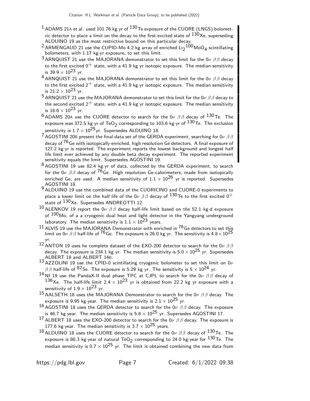- $1$  ADAMS 21A et al. used 101.76 kg yr of  $130$ Te exposure of the CUORE (LNGS) bolometric detector to place a limit on the decay to the first excited state of  $^{130}$ Xe, superseding ALDUINO 19 as the most restrictive bound on this particular decay.
- <sup>2</sup> ARMENGAUD 21 use the CUPID-Mo 4.2 kg array of enriched  $\rm{Li_2}^{100}$ MoO $_4$  scintillating bolometers, with 1.17 kg·yr exposure, to set this limit.
- 3 ARNQUIST 21 use the MAJORANA demonstrator to set this limit for the  $0\nu$   $\beta\beta$  decay to the first excited  $0^+$  state, with a 41.9 kg yr isotopic exposure. The median sensitivity is 39.9  $\times$  10<sup>23</sup> yr.
- <sup>4</sup> ARNQUIST 21 use the MAJORANA demonstrator to set this limit for the 0ν  $\beta\beta$  decay to the first excited  $2^+$  state, with a 41.9 kg yr isotopic exposure. The median sensitivity is  $21.2 \times 10^{23}$  yr.
- <sup>5</sup> ARNQUIST 21 use the MAJORANA demonstrator to set this limit for the  $0\nu$   $\beta\beta$  decay to the second excited  $2^+$  state, with a 41.9 kg yr isotopic exposure. The median sensitivity is  $18.6 \times 10^{23}$  yr.
- <sup>6</sup> ADAMS 20A use the CUORE detector to search for the 0 $\nu$   $\beta\beta$  decay of <sup>130</sup>Te. The exposure was 372.5 kg·yr of TeO<sub>2</sub> corresponding to 103.6 kg·yr of  $^{130}$ Te. The exclusion sensitivity is  $1.7 \times 10^{25}$  yr. Supersedes ALDUINO 18.
- <sup>7</sup> AGOSTINI 20B present the final data set of the GERDA experiment, searching for  $0\nu$   $\beta$   $\beta$ decay of <sup>76</sup>Ge with isotopically enriched, high resolution Ge detectors. A final exposure of 127.2 kg·yr is reported. The experiment reports the lowest background and longest half life limit ever achieved by any double beta decay experiment. The reported experiment sensitivity equals the limit. Supersedes AGOSTINI 19.
- $8$  AGOSTINI 19 use 82.4 kg·yr of data, collected by the GERDA experiment, to search for the  $0\nu \beta \beta$  decay of <sup>76</sup>Ge. High resolution Ge-calorimeters, made from isotopically enriched Ge, are used. A median sensitivity of  $1.1 \times 10^{26}$  yr is reported. Supersedes AGOSTINI 18.
- 9 ALDUINO 19 use the combined data of the CUORICINO and CUORE-0 experiments to place a lower limit on the half life of the 0 $\nu$   $\beta$   $\beta$  decay of  $^{130}$ Te to the first excited 0 $^+$ state of <sup>130</sup>Xe. Supersedes ANDREOTTI 12.
- $10$  ALENKOV 19 report the 0ν  $ββ$  decay half-life limit based on the 52.1 kg·d exposure of  $100$ Mo, of a a cryogenic dual heat and light detector in the Yangyang underground laboratory. The median sensitivity is  $1.1 \times 10^{23}$  years.
- $^{11}$  ALVIS 19 use the MAJORANA Demonstrator with enriched in  $^{76}$ Ge detectors to set this limit on  $0\nu \beta \beta$  half-life of <sup>76</sup>Ge. The exposure is 26.0 kg yr. The sensitivity is  $4.8 \times 10^{25}$ yr.
- 12 ANTON 19 uses he complete dataset of the EXO-200 detector to search for the 0 $\nu$   $\beta\beta$ decay. The exposure is 234.1 kg yr. The median sensitivity is  $5.0 \times 10^{25}$  yr. Supersedes ALBERT 18 and ALBERT 14B.
- 13 AZZOLINI 19 use the CPID-0 scintillating cryogenic bolometer to set this limit on  $0\nu$  $\beta\beta$  half-life of  $^{82}$ Se. The exposure is 5.29 kg yr. The sensitivity is 5  $\times$  10 $^{24}$  yr.
- 14 NI 19 use the PandaX-II dual phase TPC at CJPL to search for the 0 $\nu$   $\beta\beta$  decay of  $136$ Xe. The half-life limit 2.4  $\times$   $10^{23}$  yr is obtained from 22.2 kg yr exposure with a sensitivity of  $1.9 \times 10^{23}$  yr.
- 15 AALSETH 18 uses the MAJORANA Demonstrator to search for the 0ν  $\beta\beta$  decay. The exposure is 9.95 kg·year. The median sensitivity is  $2.1 \times 10^{25}$  yr.
- 16 AGOSTINI 18 uses the GERDA detector to search for the 0ν  $\beta\beta$  decay. The exposure is 46.7 kg·year. The median sensitivity is  $5.8 \times 10^{25}$  yr. Supersedes AGOSTINI 17.
- 17 ALBERT 18 uses the EXO-200 detector to search for the 0 $\nu$   $\beta\beta$  decay. The exposure is 177.6 kg year. The median sensitivity is 3.7  $\times$  10<sup>25</sup> years.
- 18 ALDUINO 18 uses the CUORE detector to search for the 0 $\nu$   $\beta\beta$  decay of <sup>130</sup>Te. The exposure is 86.3 kg year of natural TeO $_2$  corresponding to 24.0 kg year for  $^{130}$ Te. The median sensitivity is  $0.7 \times 10^{25}$  yr. The limit is obtained combining the new data from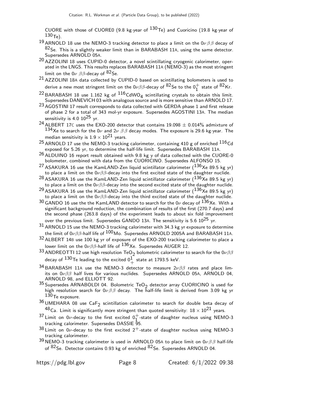CUORE with those of CUORE0 (9.8 kg·year of  $^{130}$ Te) and Cuoricino (19.8 kg·year of  $130$ <sub>Te</sub>).

- 19 ARNOLD 18 use the NEMO-3 tracking detector to place a limit on the  $0\nu\beta\beta$  decay of  $82$ Se. This is a slightly weaker limit than in BARABASH 11A, using the same detector. Supersedes ARNOLD 05A.
- 20 AZZOLINI 18 uses CUPID-0 detector, a novel scintillating cryogenic calorimeter, operated in the LNGS. This results replaces BARABASH 11A (NEMO-3) as the most stringent limit on the  $0\nu$   $\beta\beta$ -decay of  $82$ Se.
- 21 AZZOLINI 18<sup>A</sup> data collected by CUPID-0 based on scintillating bolometers is used to derive a new most stringent limit on the 0 $\nu\beta\beta$ -decay of  $^{82}$ Se to the 0 $^+_1$  state of  $^{82}$ Kr.
- <sup>22</sup> BARABASH 18 use 1.162 kg of  $^{116}$ CdWO<sub>4</sub> scintillating crystals to obtain this limit. Supersedes DANEVICH 03 with analogous source and is more sensitive than ARNOLD 17.
- 23 AGOSTINI 17 result corresponds to data collected with GERDA phase 1 and first release of phase 2 for a total of 343 mol-yr exposure. Supersedes AGOSTINI 13A. The median sensitivity is  $4.0 10^{25}$  yr.
- 24 ALBERT 17C uses the EXO-200 detector that contains  $19.098 \pm 0.014\%$  admixture of  $^{134}$ Xe to search for the 0 $\nu$  and 2 $\nu$   $\beta$   $\beta$  decay modes. The exposure is 29.6 kg·year. The median sensitivity is  $1.9 \times 10^{21}$  years.
- 25 ARNOLD 17 use the NEMO-3 tracking calorimeter, containing 410 g of enriched <sup>116</sup>Cd exposed for 5.26 yr, to determine the half-life limit. Supersedes BARABASH 11A.
- 26 ALDUINO 16 report result obtained with 9.8 kg y of data collected with the CUORE-0 bolometer, combined with data from the CUORICINO. Supersedes ALFONSO 15.
- <sup>27</sup> ASAKURA 16 use the KamLAND-Zen liquid scintillator calorimeter  $(^{136}$ Xe 89.5 kg yr) to place a limit on the  $0\nu\beta\beta$ -decay into the first excited state of the daughter nuclide.
- <sup>28</sup> ASAKURA 16 use the KamLAND-Zen liquid scintillator calorimeter ( $^{136}$ Xe 89.5 kg yr) to place a limit on the  $0\nu\beta\beta$ -decay into the second excited state of the daughter nuclide.
- $^{29}$ ASAKURA 16 use the KamLAND-Zen liquid scintillator calorimeter ( $^{136}$ Xe 89.5 kg yr) to place a limit on the 0 $\nu\beta\beta$ -decay into the third excited state of the daughter nuclide.
- $30$  GANDO 16 use the the KamLAND detector to search for the 0 $\nu$  decay of  $^{136}$ Xe. With a significant background reduction, the combination of results of the first (270.7 days) and the second phase (263.8 days) of the experiment leads to about six fold improvement over the previous limit. Supersedes GANDO 13A. The sensitivity is  $5.6 10^{25}$  yr.
- $31$  ARNOLD 15 use the NEMO-3 tracking calorimeter with 34.3 kg yr exposure to determine the limit of  $0\nu\beta\beta$ -half life of  $^{100}$ Mo. Supersedes ARNOLD 2005A and BARABASH 11A.
- 32 ALBERT 14<sup>B</sup> use 100 kg yr of exposure of the EXO-200 tracking calorimeter to place a lower limit on the  $0\nu\beta\beta$ -half life of  $136Xe$ . Supersedes AUGER 12.
- $^{33}$  ANDREOTTI 12 use high resolution TeO<sub>2</sub> bolometric calorimeter to search for the 0v $\beta\beta$ decay of  $^{130}$ Te leading to the excited  $0^1_{+}$  state at 1793.5 keV.
- 34 BARABASH 11A use the NEMO-3 detector to measure  $2\nu\beta\beta$  rates and place limits on  $0\nu\beta\beta$  half lives for various nuclides. Supersedes ARNOLD 05A, ARNOLD 04, ARNOLD 98, and ELLIOTT 92.
- $35$  Supersedes ARNABOLDI 04. Bolometric TeO<sub>2</sub> detector array CUORICINO is used for high resolution search for  $0\nu\beta\beta$  decay. The half-life limit is derived from 3.09 kg yr 130<sub>Te exposure.</sub>
- $^{36}$ UMEHARA 08 use Ca $F_2$  scintillation calorimeter to search for double beta decay of  $^{48}$ Ca. Limit is significantly more stringent than quoted sensitivity:  $18 \times 10^{21}$  years.
- $37$  Limit on  $0\nu$ -decay to the first excited  $0^{+}_{1}$ -state of daughter nucleus using NEMO-3 tracking calorimeter. Supersedes DASSIE 95.
- $38$  Limit on  $0\nu$ -decay to the first excited  $2^+$ -state of daughter nucleus using NEMO-3 tracking calorimeter.
- 39 NEMO-3 tracking calorimeter is used in ARNOLD 05A to place limit on  $0\nu\beta\beta$  half-life of <sup>82</sup>Se. Detector contains 0.93 kg of enriched <sup>82</sup>Se. Supersedes ARNOLD 04.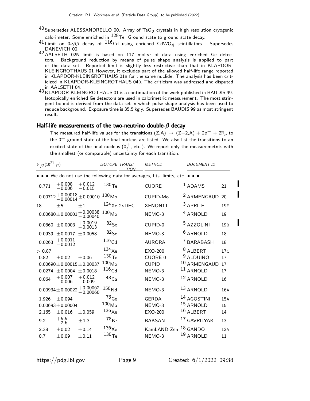- $^{40}$ Supersedes ALESSANDRELLO 00. Array of TeO $_2$  crystals in high resolution cryogenic calorimeter. Some enriched in  $^{128}$ Te. Ground state to ground state decay.
- $^{41}$  Limit on  $0\nu\beta\beta$  decay of  $^{116}$ Cd using enriched CdWO<sub>4</sub> scintillators. Supersedes DANEVICH 00.
- 42 AALSETH 02<sup>B</sup> limit is based on 117 mol·yr of data using enriched Ge detectors. Background reduction by means of pulse shape analysis is applied to part of the data set. Reported limit is slightly less restrictive than that in KLAPDOR-KLEINGROTHAUS 01 However, it excludes part of the allowed half-life range reported in KLAPDOR-KLEINGROTHAUS 01B for the same nuclide. The analysis has been criticized in KLAPDOR-KLEINGROTHAUS 04B. The criticism was addressed and disputed in AALSETH 04.
- 43 KLAPDOR-KLEINGROTHAUS 01 is a continuation of the work published in BAUDIS 99. Isotopically enriched Ge detectors are used in calorimetric measurement. The most stringent bound is derived from the data set in which pulse-shape analysis has been used to reduce background. Exposure time is 35.5 kg y. Supersedes BAUDIS 99 as most stringent result.

#### Half-life measurements of the two-neutrino double- $\beta$  decay

The measured half-life values for the transitions  $(Z, A) \rightarrow (Z+2, A) + 2e^- + 2\overline{\nu}_e$  to the  $0^+$  ground state of the final nucleus are listed. We also list the transitions to an excited state of the final nucleus  $(0_i^+,$  etc.). We report only the measuremetnts with the smallest (or comparable) uncertainty for each transition.

| $t_{1/2}(10^{21}$ yr) |                                                                       |                                               | <b>ISOTOPE TRANSI-</b><br>TION | <b>METHOD</b>  | <b>DOCUMENT ID</b>      |                 |  |  |  |  |
|-----------------------|-----------------------------------------------------------------------|-----------------------------------------------|--------------------------------|----------------|-------------------------|-----------------|--|--|--|--|
|                       | • • We do not use the following data for averages, fits, limits, etc. |                                               |                                |                |                         |                 |  |  |  |  |
| 0.771                 | $+0.008$<br>$-0.006$                                                  | $+0.012$<br>$-0.015$                          | 130 <sub>Te</sub>              | <b>CUORE</b>   | $1$ ADAMS               | 21              |  |  |  |  |
|                       | $-0.00014$                                                            | $0.00712 + 0.00018 + 0.00010$                 | 100 <sub>Mo</sub>              | CUPID-Mo       | <sup>2</sup> ARMENGAUD  | 20              |  |  |  |  |
| 18                    | ±5                                                                    | $+1$                                          | $124$ Xe 2vDEC                 | <b>XENON1T</b> | <sup>3</sup> APRILE     | 19 <sub>E</sub> |  |  |  |  |
|                       | $0.00680 \pm 0.00001$                                                 | $+0.00038$<br>$-0.00040$                      | $100_{\sf Mo}$                 | NEMO-3         | <sup>4</sup> ARNOLD     | 19              |  |  |  |  |
| 0.0860                | ± 0.0003                                                              | $+0.0019$<br>$-0.0013$                        | $82$ Se                        | CUPID-0        | <sup>5</sup> AZZOLINI   | 19 <sub>B</sub> |  |  |  |  |
| 0.0939                | ± 0.0017                                                              | ± 0.0058                                      | $82$ Se                        | NEMO-3         | <sup>6</sup> ARNOLD     | 18              |  |  |  |  |
| 0.0263                | $+0.0011$<br>$-0.0012$                                                |                                               | 116 <sub>Cd</sub>              | <b>AURORA</b>  | <sup>7</sup> BARABASH   | 18              |  |  |  |  |
| > 0.87                |                                                                       |                                               | $^{134}\mathrm{Xe}$            | <b>EXO-200</b> | 8 ALBERT                | 17 <sub>C</sub> |  |  |  |  |
| 0.82                  | $\pm 0.02$                                                            | $\pm 0.06$                                    | 130 <sub>Te</sub>              | CUORE-0        | <sup>9</sup> ALDUINO    | 17              |  |  |  |  |
|                       | $0.00690 \pm 0.00015 \pm 0.00037$                                     |                                               | 100 <sub>Mo</sub>              | <b>CUPID</b>   | 10 ARMENGAUD            | 17              |  |  |  |  |
| 0.0274                | $\pm 0.0004$                                                          | ± 0.0018                                      | 116 <sub>Cd</sub>              | NEMO-3         | <sup>11</sup> ARNOLD    | 17              |  |  |  |  |
| 0.064                 | $+0.007$<br>$-0.006$                                                  | $+0.012$<br>$-0.009$                          | $^{48}$ Ca                     | NEMO-3         | 12 ARNOLD               | 16              |  |  |  |  |
|                       |                                                                       | $0.00934 \pm 0.00022 + 0.00062$<br>$-0.00060$ | 150 <sub>Nd</sub>              | NEMO-3         | 13 ARNOLD               | 16A             |  |  |  |  |
| 1.926                 | ± 0.094                                                               |                                               | $^{76}\mathrm{Ge}$             | <b>GERDA</b>   | 14 AGOSTINI             | 15A             |  |  |  |  |
|                       | $0.00693 \pm 0.00004$                                                 |                                               | $100_{\text{Mo}}$              | NEMO-3         | 15 ARNOLD               | 15              |  |  |  |  |
| 2.165                 | $\pm$ 0.016                                                           | ± 0.059                                       | $136\chi$ e                    | <b>EXO-200</b> | 16 ALBERT               | 14              |  |  |  |  |
| 9.2                   | $+5.5$<br>$-2.6$                                                      | ±1.3                                          | 78 <sub>Kr</sub>               | <b>BAKSAN</b>  | <sup>17</sup> GAVRILYAK | 13              |  |  |  |  |
| 2.38                  | $\pm 0.02$                                                            | ±0.14                                         | $136\chi$ e                    | KamLAND-Zen    | $18$ GANDO              | 12A             |  |  |  |  |
| 0.7                   | $\pm 0.09$                                                            | $\pm 0.11$                                    | $^{130}\mathrm{Te}$            | NEMO-3         | 19 ARNOLD               | 11              |  |  |  |  |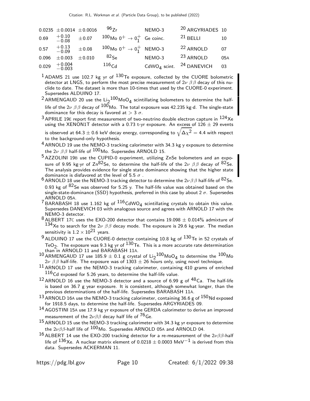|                      | $0.0235 \pm 0.0014 \pm 0.0016$               |             | $96_{7r}$                                                      | NEMO-3                                          | <sup>20</sup> ARGYRIADES 10 |     |
|----------------------|----------------------------------------------|-------------|----------------------------------------------------------------|-------------------------------------------------|-----------------------------|-----|
| 0.69                 | $\begin{array}{r} +0.10 \ -0.08 \end{array}$ | $\pm 0.07$  | $100M_0$ 0 <sup>+</sup> $\rightarrow$ 0 <sup>+</sup> Ge coinc. |                                                 | $21$ BELLI                  | 10  |
| $0.57 + 0.13 - 0.09$ |                                              | $\pm 0.08$  | $100M_0$ 0 <sup>+</sup> $\rightarrow$ 0 <sup>+</sup> NEMO-3    |                                                 | <sup>22</sup> ARNOLD        | 07  |
| 0.096                | $\pm 0.003$                                  | $\pm 0.010$ | $82$ <sub>Se</sub>                                             | NEMO-3                                          | <sup>23</sup> ARNOLD        | 05A |
| 0.029                | $^{+0.004}_{-0.003}$                         |             | 116 <sub>Cd</sub>                                              | CdWO <sub>4</sub> scint. <sup>24</sup> DANEVICH |                             | 03  |

 $1$  ADAMS 21 use 102.7 kg yr of  $130$ Te exposure, collected by the CUORE bolometric detector at LNGS, to perform the most precise measurement of  $2\nu \beta \beta$  decay of this nuclide to date. The dataset is more than 10-times that used by the CUORE-0 experiment. Supersedes ALDUINO 17.

<sup>2</sup> ARMENGAUD 20 use the Li<sub>2</sub>100 MoO<sub>4</sub> scintillating bolometers to determine the halflife of the  $2\nu$   $\beta$   $\beta$  decay of  $100$  Mo. The total exposure was 42.235 kg·d. The single-state dominance for this decay is favored at  $> 3 \sigma$ .

 $3$  APRILE 19E report first measurement of two-neutrino double electron capture in  $124$ Xe using the XENON1T detector with a 0.73 t-yr exposure. An excess of  $126 \pm 29$  events is observed at 64.3  $\pm$  0.6 keV decay energy, corresponding to  $\sqrt{\Delta\chi^2} =$  4.4 with respect

to the background-only hypothesis. <sup>4</sup> ARNOLD 19 use the NEMO-3 tracking calorimeter with 34.3 kg y exposure to determine the  $2\nu$   $\beta$   $\beta$  half-life of  $100$  Mo. Supersedes ARNOLD 15.

- $5$  AZZOLINI 19B use the CUPID-0 experiment, utilizing ZnSe bolometers and an exposure of 9.95 kg·yr of Zn $^{82}$ Se, to determine the half-life of the 2 $\nu$   $\beta\,\beta$  decay of  $^{82}$ Se. The analysis provides evidence for single state dominance showing that the higher state dominance is disfavored at the level of 5.5  $\sigma$  .
- 6 ARNOLD 18 use the NEMO-3 tracking detector to determine the  $2\nu\beta\beta$  half-life of  $8^2$ Se. 0.93 kg of  $82$ Se was observed for 5.25 y. The half-life value was obtained based on the single-state-dominance (SSD) hypothesis, preferred in this case by about 2  $\sigma$ . Supersedes ARNOLD 05A.
- <sup>7</sup> BARABASH 18 use 1.162 kg of  $^{116}$ CdWO<sub>4</sub> scintillating crystals to obtain this value. Supersedes DANEVICH 03 with analogous source and agrees with ARNOLD 17 with the NEMO-3 detector.
- $8$  ALBERT 17C uses the EXO-200 detector that contains 19.098  $\pm$  0.014% admixture of 134Xe to search for the  $2\nu$   $\beta\beta$  decay mode. The exposure is 29.6 kg·year. The median sensitivity is  $1.2 \times 10^{21}$  years.
- 9 ALDUINO 17 use the CUORE-0 detector containing 10.8 kg of  $130$  Te in 52 crystals of TeO<sub>2</sub>. The exposure was 9.3 kg yr of  $^{130}$ Te. This is a more accurate rate determination than in ARNOLD 11 and BARABASH 11A.
- $10$  ARMENGAUD 17 use 185.9  $\pm$  0.1 g crystal of Li<sub>2</sub>100MoO<sub>4</sub> to determine the  $100$ Mo 2 $\nu$   $\beta$   $\beta$  half-life. The exposure was of 1303  $\pm$  26 hours only, using novel technique.
- $11$  ARNOLD 17 use the NEMO-3 tracking calorimeter, containing 410 grams of enriched  $116$ Cd exposed for 5.26 years, to determine the half-life value.
- <sup>12</sup> ARNOLD 16 use the NEMO-3 detector and a source of 6.99 g of <sup>48</sup>Ca. The half-life is based on 36.7 g year exposure. It is consistent, although somewhat longer, than the previous determinations of the half-life. Supersedes BARABASH 11A.
- $^{13}$  ARNOLD 16A use the NEMO-3 tracking calorimeter, containing 36.6 g of  $^{150}$ Nd exposed for 1918.5 days, to determine the half-life. Supersedes ARGYRIADES 09.
- 14 AGOSTINI 15<sup>A</sup> use 17.9 kg yr exposure of the GERDA calorimeter to derive an improved measurement of the 2 $\nu\beta\beta$  decay half life of  $^{76}$ Ge.
- $15$  ARNOLD 15 use the NEMO-3 tracking calorimeter with 34.3 kg yr exposure to determine the  $2\nu\beta\beta$ -half life of  $^{100}$ Mo. Supersedes ARNOLD 05A and ARNOLD 04.
- 16 ALBERT 14 use the EXO-200 tracking detector for a re-measurement of the  $2\nu\beta\beta$ -half life of <sup>136</sup>Xe. A nuclear matrix element of 0.0218  $\pm$  0.0003 MeV<sup>-1</sup> is derived from this data. Supersedes ACKERMAN 11.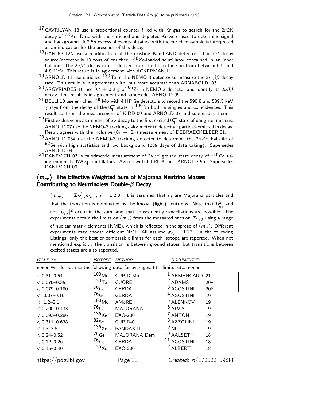- <sup>17</sup> GAVRILYAK 13 use a proportional counter filled with Kr gas to search for the  $2\nu$ 2K decay of <sup>78</sup>Kr. Data with the enriched and depleted Kr were used to determine signal and background. A 2.5 $\sigma$  excess of events obtained with the enriched sample is interpreted as an indication for the presence of this decay.
- <sup>18</sup> GANDO 12A use a modification of the existing KamLAND detector. The  $ββ$  decay source/detector is 13 tons of enriched  $136Xe$ -loaded scintillator contained in an inner balloon. The  $2\nu\beta\beta$  decay rate is derived from the fit to the spectrum between 0.5 and 4.8 MeV. This result is in agreement with ACKERMAN 11.
- 19 ARNOLD 11 use enriched  $1\overline{3}0$ Te in the NEMO-3 detector to measure the  $2\nu$   $\beta\beta$  decay rate. This result is in agreement with, but more accurate than ARNABOLDI 03.
- $^{20}$ ARGYRIADES 10 use 9.4  $\pm$  0.2 g of  $^{96}$ Zr in NEMO-3 detector and identify its 2 $\nu\beta\beta$ decay. The result is in agreement and supersedes ARNOLD 99.
- $^{21}$  BELLI 10 use enriched  $^{100}$ Mo with 4 HP Ge detectors to record the 590.8 and 539.5 keV  $\gamma$  rays from the decay of the  $0_1^+$  state in  $100$  Ru both in singles and coincidences. This result confirms the measurement of KIDD 09 and ARNOLD 07 and supersedes them.
- <sup>22</sup> First exclusive measurement of 2v-decay to the first excited  $0^+$ -state of daughter nucleus. ARNOLD 07 use the NEMO-3 tracking calorimeter to detect all particles emitted in decay. Result agrees with the inclusive  $(0\nu + 2\nu)$  measurement of DEBRAECKELEER 01.
- 23 ARNOLD 05A use the NEMO-3 tracking detector to determine the  $2\nu\beta\beta$  half-life of  $82$ Se with high statistics and low background (389 days of data taking). Supersedes ARNOLD 04.
- <sup>24</sup> DANEVICH 03 is calorimetric measurement of 2 $\nu\beta\beta$  ground state decay of  $^{116}$ Cd using enrichedCdWO<sub>4</sub> scintillators. Agrees with EJIRI 95 and ARNOLD 96. Supersedes<br>RANEVIGH 88 DANEVICH 00.

## $\langle m_\mathsf{ee} \rangle$ , The Effective Weighted Sum of Majorana Neutrino Masses Contributing to Neutrinoless Double- $\beta$  Decay

 $\langle m_{\mathsf{ee}}\rangle=|\Sigma U_{ei}^2 m_{\nu_i}|$ ,  $i=$  1,2,3. It is assumed that  $\nu_i$  are Majorana particles and that the transition is dominated by the known (light) neutrinos. Note that  $\mathcal{U}_{ei}^2$  and not  $|U_{ei}|^2$  occur in the sum, and that consequently cancellations are possible. The experiments obtain the limits on  $\langle m_\nu \rangle$  from the measured ones on  $\,_{1/2}$  using a range of nuclear matrix elements (NME), which is reflected in the spread of  $\langle m_{\nu} \rangle$ . Different experiments may choose different NME. All assume  $g_A = 1.27$ . In the following Listings, only the best or comparable limits for each isotope are reported. When not mentioned explicitly the transition is between ground states, but transitions between excited states are also reported.

| VALUE (eV)                                                                    | <b>ISOTOPE</b>    | <b>METHOD</b>   | <b>DOCUMENT ID</b>        |     |
|-------------------------------------------------------------------------------|-------------------|-----------------|---------------------------|-----|
| • • • We do not use the following data for averages, fits, limits, etc. • • • |                   |                 |                           |     |
| $< 0.31 - 0.54$                                                               | 100 <sub>Mo</sub> | CUPID-Mo        | <sup>1</sup> ARMENGAUD 21 |     |
| $< 0.075 - 0.35$                                                              | 130 <sub>Te</sub> | <b>CUORE</b>    | <sup>2</sup> ADAMS        | 20A |
| $< 0.079 - 0.180$                                                             | $^{76}$ Ge        | <b>GERDA</b>    | <sup>3</sup> AGOSTINI     | 20B |
| $< 0.07 - 0.16$                                                               | $^{76}$ Ge        | <b>GERDA</b>    | <sup>4</sup> AGOSTINI     | 19  |
| $< 1.2 - 2.1$                                                                 | 100 <sub>Mo</sub> | AMoRE           | <sup>5</sup> ALENKOV      | 19  |
| $< 0.200 - 0.433$                                                             | $^{76}$ Ge        | <b>MAJORANA</b> | $6$ ALVIS                 | 19  |
| $< 0.093 - 0.286$                                                             | $136\chi$ e       | <b>EXO-200</b>  | <sup>7</sup> ANTON        | 19  |
| $< 0.311 - 0.638$                                                             | $^{82}$ Se        | CUPID-0         | <sup>8</sup> AZZOLINI     | 19  |
| $< 1.3 - 3.5$                                                                 | $136\chi$ e       | PANDAX-II       | $9$ NI                    | 19  |
| $< 0.24 - 0.52$                                                               | $^{76}$ Ge        | MAJORANA Dem    | 10 AALSETH                | 18  |
| $< 0.12 - 0.26$                                                               | $^{76}$ Ge        | <b>GERDA</b>    | $11$ AGOSTINI             | 18  |
| $< 0.15 - 0.40$                                                               | $136\chi$ e       | <b>EXO-200</b>  | 12 ALBERT                 | 18  |
| https://pdg.lbl.gov                                                           |                   | Page 11         | Created: $6/1/2022$ 09:38 |     |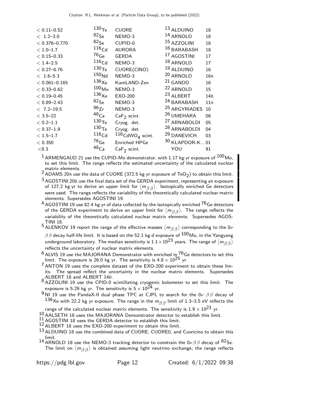| <b>CUORE</b>                                                                                                                                                                                                                                                                                                                                            | 13 ALDUINO                     | 18                                                                                                                                                                                                                                                                                                                                                   |
|---------------------------------------------------------------------------------------------------------------------------------------------------------------------------------------------------------------------------------------------------------------------------------------------------------------------------------------------------------|--------------------------------|------------------------------------------------------------------------------------------------------------------------------------------------------------------------------------------------------------------------------------------------------------------------------------------------------------------------------------------------------|
| NEMO-3                                                                                                                                                                                                                                                                                                                                                  | 14 ARNOLD                      | 18                                                                                                                                                                                                                                                                                                                                                   |
| CUPID-0                                                                                                                                                                                                                                                                                                                                                 |                                | 18                                                                                                                                                                                                                                                                                                                                                   |
| <b>AURORA</b>                                                                                                                                                                                                                                                                                                                                           |                                | 18                                                                                                                                                                                                                                                                                                                                                   |
| <b>GERDA</b>                                                                                                                                                                                                                                                                                                                                            |                                | 17                                                                                                                                                                                                                                                                                                                                                   |
| NEMO-3                                                                                                                                                                                                                                                                                                                                                  |                                | 17                                                                                                                                                                                                                                                                                                                                                   |
| CUORE(CINO)                                                                                                                                                                                                                                                                                                                                             |                                | 16                                                                                                                                                                                                                                                                                                                                                   |
| NEMO-3                                                                                                                                                                                                                                                                                                                                                  |                                | 16A                                                                                                                                                                                                                                                                                                                                                  |
| KamLAND-Zen                                                                                                                                                                                                                                                                                                                                             |                                | 16                                                                                                                                                                                                                                                                                                                                                   |
| NEMO-3                                                                                                                                                                                                                                                                                                                                                  |                                | 15                                                                                                                                                                                                                                                                                                                                                   |
| EXO-200                                                                                                                                                                                                                                                                                                                                                 |                                | 14 <sub>B</sub>                                                                                                                                                                                                                                                                                                                                      |
| NEMO-3                                                                                                                                                                                                                                                                                                                                                  |                                | 11A                                                                                                                                                                                                                                                                                                                                                  |
| NEMO-3                                                                                                                                                                                                                                                                                                                                                  |                                | 10                                                                                                                                                                                                                                                                                                                                                   |
| $CaF2$ scint.                                                                                                                                                                                                                                                                                                                                           |                                | 08                                                                                                                                                                                                                                                                                                                                                   |
| Cryog. det.                                                                                                                                                                                                                                                                                                                                             |                                | 05                                                                                                                                                                                                                                                                                                                                                   |
| Cryog. det.                                                                                                                                                                                                                                                                                                                                             |                                | 04                                                                                                                                                                                                                                                                                                                                                   |
|                                                                                                                                                                                                                                                                                                                                                         |                                | 03                                                                                                                                                                                                                                                                                                                                                   |
| <b>Enriched HPGe</b>                                                                                                                                                                                                                                                                                                                                    |                                |                                                                                                                                                                                                                                                                                                                                                      |
| $CaF2$ scint.                                                                                                                                                                                                                                                                                                                                           | YOU                            | 91                                                                                                                                                                                                                                                                                                                                                   |
| 130 <sub>Te</sub><br>$82$ Se<br>$82$ <sub>Se</sub><br>116 <sub>Cd</sub><br>$^{76}$ Ge<br>116 <sub>Cd</sub><br>130 <sub>Te</sub><br>150 <sub>Nd</sub><br>$136\chi$ e<br>100 <sub>Mo</sub><br>$136\chi_\mathrm{e}$<br>${}^{82}$ Se<br>96Zr<br>$^{48}$ Ca<br>130 <sub>Te</sub><br>130 <sub>Te</sub><br>116 <sub>Cd</sub><br>$^{76}$ Ge<br>48 <sub>Ca</sub> | $116$ CdWO <sub>4</sub> scint. | 15 AZZOLINI<br>16 BARABASH<br><sup>17</sup> AGOSTINI<br>18 ARNOLD<br><sup>19</sup> ALDUINO<br>20 ARNOLD<br><sup>21</sup> GANDO<br><sup>22</sup> ARNOLD<br>23 ALBERT<br><sup>24</sup> BARABASH<br><sup>25</sup> ARGYRIADES<br><sup>26</sup> UMEHARA<br><sup>27</sup> ARNABOLDI<br><sup>28</sup> ARNABOLDI<br><sup>29</sup> DANEVICH<br>30 KLAPDOR-K01 |

 $1$  ARMENGAUD 21 use the CUPID-Mo demonstrator, with 1.17 kg·yr exposure of  $100$  Mo, to set this limit. The range reflects the estimated uncertainty of the calculated nuclear

matrix elements.<br><sup>2</sup> ADAMS 20A use the data of CUORE (372.5 kg·yr exposure of TeO<sub>2</sub>) to obtain this limit.<br>^

 $3$  AGOSTINI 20B use the final data set of the GERDA experiment, representing an exposure of 127.2 kg yr to derive an upper limit for  $\langle\, m_{\beta\,\beta}\,\rangle$  . Isotopically enriched Ge detectors were used. The range reflects the variability of the theoretically calculated nuclear matrix elements. Supersedes AGOSTINI 19.

 $4$  AGOSTINI 19 use 82.4 kg·yr of data collected by the isotopically enriched  $^{76}$ Ge detectors of the GERDA experiment to derive an upper limit for  $\langle m_{\beta\,\beta} \rangle$ . The range reflects the variability of the theoretically calculated nuclear matrix elements. Supersedes AGOS-

 $^5$  ALENKOV 19 report the range of the effective masses  $\langle m_{\beta\, \beta} \rangle$  corresponding to the 0 $\nu$ 

 $ββ$  decay half-life limit. It is based on the 52.1 kg·d exposure of  $100$ Mo, in the Yangyang underground laboratory. The median sensitivity is  $1.1 \times 10^{23}$  years. The range of  $\langle m_{\beta\,\beta} \rangle$ reflects the uncertainty of nuclear matrix elements.

 $^6$  ALVIS 19 use the MAJORANA Demonstrator with enriched in  $^{76}_{\Lambda}$ Ge detectors to set this limit. The exposure is 26.0 kg yr. The sensitivity is 4.8  $\times$   $10^{25}$  yr.

 $7$  ANTON 19 uses the complete dataset of the EXO-200 experiment to obtain these limits. The spread reflect the uncertainty in the nuclear matrix elements. Supersedes

<sub>8</sub> ALBERT 18 and ALBERT 14B.<br><sup>8</sup> AZZOLINI 19 use the CPID-0 scintillating cryogenic bolometer to set this limit. The exposure is 5.29 kg yr. The sensitivity is  $5 \times 10^{24}$  yr.

<sup>9</sup> NI 19 use the PandaX-II dual phase TPC at CJPL to search for the 0 $\nu$   $\beta\beta$  decay of 136Xe with 22.2 kg yr exposure. The range in the  $m_{\beta\beta}$  limit of 1.3–3.5 eV reflects the

range of the calculated nuclear matrix elements. The sensitivity is  $1.9 \times 10^{23}$  yr.

10 AALSETH 18 uses the MAJORANA Demonstrator detector to establish this limit.

 $11$  AGOSTINI 18 uses the GERDA detector to establish this limit.

 $12$  ALBERT 18 uses the EXO-200 experiment to obtain this limit.

13 ALDUINO 18 use the combined data of CUORE, CUORE0, and Cuoricino to obtain this limit.

14 ARNOLD 18 use the NEMO-3 tracking detector to constrain the  $0\nu\beta\beta$  decay of  $82$ Se. The limit on  $\langle m_{\beta\, \beta} \rangle$  is obtained assuming light neutrino exchange; the range reflects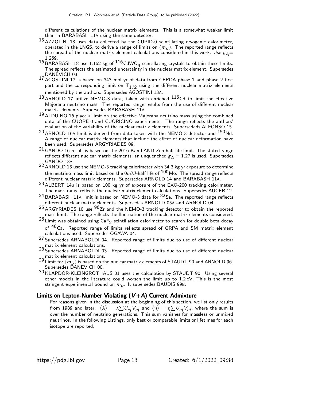different calculations of the nuclear matrix elements. This is a somewhat weaker limit than in BARABASH 11A using the same detector.

- 15 AZZOLINI 18 uses data collected by the CUPID-0 scintillating cryogenic calorimeter, operated in the LNGS, to derive a range of limits on  $\langle m_\nu \rangle$ . The reported range reflects the spread of the nuclear matrix element calculations considered in this work. Use  $g_A=$ 1.269.
- $^{16}$  BARABASH 18 use 1.162 kg of  $^{116}$ CdWO<sub>4</sub> scintillating crystals to obtain these limits. The spread reflects the estimated uncertainty in the nuclear matrix element. Supersedes DANEVICH 03.
- 17 AGOSTINI 17 is based on 343 mol yr of data from GERDA phase 1 and phase 2 first part and the corresponding limit on  $\mathsf{T}_{1/2}$  using the different nuclear matrix elements mentioned by the authors. Supersedes AGOSTINI 13A.
- $^{18}$  ARNOLD 17 utilize NEMO-3 data, taken with enriched  $^{116}$ Cd to limit the effective Majorana neutrino mass. The reported range results from the use of different nuclear matrix elements. Supersedes BARABASH 11A.
- $19$  ALDUINO 16 place a limit on the effective Majorana neutrino mass using the combined data of the CUORE-0 and CUORICINO experiments. The range reflects the authors' evaluation of the variability of the nuclear matrix elements. Supersededs ALFONSO 15.
- $20$  ARNOLD 16A limit is derived from data taken with the NEMO-3 detector and  $150$  Nd. A range of nuclear matrix elements that include the effect of nuclear deformation have been used. Supersedes ARGYRIADES 09.
- 21 GANDO 16 result is based on the 2016 KamLAND-Zen half-life limit. The stated range reflects different nuclear matrix elements, an unquenched  $g_A = 1.27$  is used. Supersedes GANDO 13A.
- 22 ARNOLD 15 use the NEMO-3 tracking calorimeter with 34.3 kg yr exposure to determine the neutrino mass limit based on the  $0\nu\beta\beta$ -half life of  $100$ Mo. The spread range reflects different nuclear matrix elements. Supersedes ARNOLD 14 and BARABASH 11A.
- <sup>23</sup> ALBERT 14B is based on 100 kg yr of exposure of the EXO-200 tracking calorimeter. The mass range reflects the nuclear matrix element calculations. Supersedes AUGER 12.
- $24$  BARABASH 11A limit is based on NEMO-3 data for  $82$  Se. The reported range reflects different nuclear matrix elements. Supersedes ARNOLD 05A and ARNOLD 04.
- 25 ARGYRIADES 10 use <sup>96</sup>Zr and the NEMO-3 tracking detector to obtain the reported mass limit. The range reflects the fluctuation of the nuclear matrix elements considered.
- $^{26}$  Limit was obtained using  $\text{CaF}_2$  scintillation calorimeter to search for double beta decay of <sup>48</sup>Ca. Reported range of limits reflects spread of QRPA and SM matrix element calculations used. Supersedes OGAWA 04.
- <sup>27</sup> Supersedes ARNABOLDI 04. Reported range of limits due to use of different nuclear matrix element calculations.
- 28 Supersedes ARNABOLDI 03. Reported range of limits due to use of different nuclear matrix element calculations.
- <sup>29</sup> Limit for  $\langle m_{\nu} \rangle$  is based on the nuclear matrix elements of STAUDT 90 and ARNOLD 96. Supersedes DANEVICH 00.
- 30 KLAPDOR-KLEINGROTHAUS 01 uses the calculation by STAUDT 90. Using several other models in the literature could worsen the limit up to 1.2 eV. This is the most stringent experimental bound on  $m_{\nu^{\star}}$  It supersedes BAUDIS 99B.

### Limits on Lepton-Number Violating  $(V+A)$  Current Admixture

For reasons given in the discussion at the beginning of this section, we list only results from 1989 and later.  $\langle\lambda\rangle=\lambda\sum U_{\bf ej}V_{{\bf ej}}$  and  $\langle\eta\rangle=\eta\sum U_{{\bf ej}}V_{{\bf ej}}$ , where the sum is over the number of neutrino generations. This sum vanishes for massless or unmixed neutrinos. In the following Listings, only best or comparable limits or lifetimes for each isotope are reported.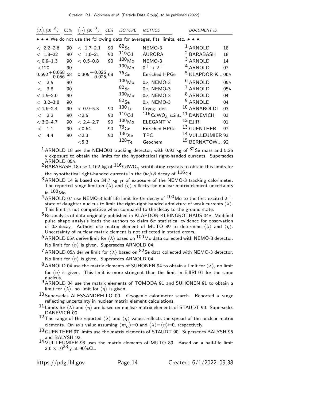| $(10^{-6})$                                                                            | $CL\%$                     | $(10^{-8})$<br>$\langle \eta \rangle$                                     | $CL\%$                     | <b>ISOTOPE</b>                                                                              | <b>METHOD</b>                                                                                                      | <i>DOCUMENT ID</i>                                                                                                                          |                             |
|----------------------------------------------------------------------------------------|----------------------------|---------------------------------------------------------------------------|----------------------------|---------------------------------------------------------------------------------------------|--------------------------------------------------------------------------------------------------------------------|---------------------------------------------------------------------------------------------------------------------------------------------|-----------------------------|
|                                                                                        |                            |                                                                           |                            |                                                                                             | • • • We do not use the following data for averages, fits, limits, etc. • • •                                      |                                                                                                                                             |                             |
| $< 2.2 - 2.6$<br>$< 1.8 - 22$<br>$< 0.9 - 1.3$<br>$<$ 120<br>$0.692 + 0.058$<br>-0.056 | 90<br>90<br>90<br>90<br>68 | $< 1.7 - 2.1$<br>$< 1.6 - 21$<br>$< 0.5 - 0.8$<br>$0.305 + 0.026$         | 90<br>90<br>90<br>68       | $82$ Se<br>$116$ Cd<br>100 <sub>Mo</sub><br>100 <sub>Mo</sub><br>$^{76}$ Ge                 | NEMO-3<br><b>AURORA</b><br>NEMO-3<br>$0^+ \rightarrow 2^+$<br><b>Enriched HPGe</b>                                 | <sup>1</sup> ARNOLD<br><sup>2</sup> BARABASH<br><sup>3</sup> ARNOLD<br><sup>4</sup> ARNOLD<br><sup>5</sup> KLAPDOR-K                        | 18<br>18<br>14<br>07<br>06A |
| < 2.5<br>< 3.8<br>$< 1.5 - 2.0$<br>$< 3.2 - 3.8$                                       | 90<br>90<br>90<br>90       |                                                                           |                            | 100 <sub>Mo</sub><br>$82$ Se<br>100 <sub>Mo</sub><br>$82$ Se                                | $0\nu$ , NEMO-3<br>$0\nu$ , NEMO-3<br>$0\nu$ , NEMO-3<br>$0\nu$ , NEMO-3                                           | <sup>6</sup> ARNOLD<br><sup>7</sup> ARNOLD<br><sup>8</sup> ARNOLD<br><sup>9</sup> ARNOLD                                                    | 05A<br>05A<br>04<br>04      |
| $< 1.6 - 2.4$<br>< 2.2<br>$< 3.2 - 4.7$<br>1.1<br>$\lt$<br>4.4<br>$\lt$                | 90<br>90<br>90<br>90<br>90 | $< 0.9 - 5.3$<br>${<}2.5$<br>$< 2.4 - 2.7$<br>< 0.64<br>${<}2.3$<br>< 5.3 | 90<br>90<br>90<br>90<br>90 | 130 <sub>Te</sub><br>$116$ Cd<br>100 <sub>Mo</sub><br>$^{76}$ Ge<br>$136\chi$ e<br>$128$ Te | Cryog. det.<br>$116$ CdWO <sub>4</sub> scint.<br><b>ELEGANT V</b><br><b>Enriched HPGe</b><br><b>TPC</b><br>Geochem | 10 ARNABOLDI<br><sup>11</sup> DANEVICH<br>$12$ EJIRI<br><sup>13</sup> GUENTHER<br><sup>14</sup> VUILLEUMIER 93<br><sup>15</sup> BERNATOW 92 | 03<br>03<br>01<br>97        |

 $1$  ARNOLD 18 use the NEMO03 tracking detector, with 0.93 kg of  $82$ Se mass and 5.25 y exposure to obtain the limits for the hypothetical right-handed currents. Supersedes ARNOLD 05A.

<sup>2</sup> BARABASH 18 use 1.162 kg of  $^{116}$ CdWO<sub>4</sub> scintillating crystals to obtain this limits for the hypothetical right-handed currents in the  $0\nu\beta\beta$  decay of  $^{116}$ Cd.

- 3 ARNOLD 14 is based on 34.7 kg yr of exposure of the NEMO-3 tracking calorimeter. The reported range limit on  $\langle\lambda\rangle$  and  $\langle\eta\rangle$  reflects the nuclear matrix element uncertainty in  $100<sub>Mo</sub>$ .
- $^4$  ARNOLD 07 use NEMO-3 half life limit for 0 $\nu$ -decay of  $^{100}$ Mo to the first excited 2 $^+$ state of daughter nucleus to limit the right-right handed admixture of weak currents  $\langle\lambda\rangle$ . This limit is not competitive when compared to the decay to the ground state.
- 5Re-analysis of data originally published in KLAPDOR-KLEINGROTHAUS 04A. Modified pulse shape analysis leads the authors to claim  $6\sigma$  statistical evidence for observation of 0 $\nu$ -decay. Authors use matrix element of MUTO 89 to determine  $\langle \lambda \rangle$  and  $\langle \eta \rangle$ . Uncertainty of nuclear matrix element is not reflected in stated errors.

 $^6$  ARNOLD 05A derive limit for  $\langle \lambda \rangle$  based on  $^{100}$ Mo data collected with NEMO-3 detector. No limit for  $\langle \eta \rangle$  is given. Supersedes ARNOLD 04.

 $^7$ ARNOLD 05A derive limit for  $\langle \lambda \rangle$  based on  $^{82}$ Se data collected with NEMO-3 detector. No limit for  $\langle \eta \rangle$  is given. Supersedes ARNOLD 04.

 $^8$  ARNOLD 04 use the matrix elements of SUHONEN 94 to obtain a limit for  $\langle \lambda \rangle$ , no limit for  $\langle \eta \rangle$  is given. This limit is more stringent than the limit in EJIRI 01 for the same nucleus.

9 ARNOLD 04 use the matrix elements of TOMODA 91 and SUHONEN 91 to obtain a limit for  $\langle \lambda \rangle$ , no limit for  $\langle \eta \rangle$  is given.

 $10$  Supersedes ALESSANDRELLO 00. Cryogenic calorimeter search. Reported a range reflecting uncertainty in nuclear matrix element calculations.

 $^{11}$  Limits for  $\langle\lambda\rangle$  and  $\langle\eta\rangle$  are based on nuclear matrix elements of STAUDT 90. Supersedes DANEVICH 00.

 $^{12}$  The range of the reported  $\langle\lambda\rangle$  and  $\langle\eta\rangle$  values reflects the spread of the nuclear matrix elements. On axis value assuming  $\langle m_\nu\rangle$ =0 and  $\langle \lambda\rangle{=}\langle \eta\rangle{=}0$ , respectively.

13 GUENTHER 97 limits use the matrix elements of STAUDT 90. Supersedes BALYSH 95 and BALYSH 92.

14 VUILLEUMIER 93 uses the matrix elements of MUTO 89. Based on a half-life limit  $2.6 \times 10^{23}$  y at 90%CL.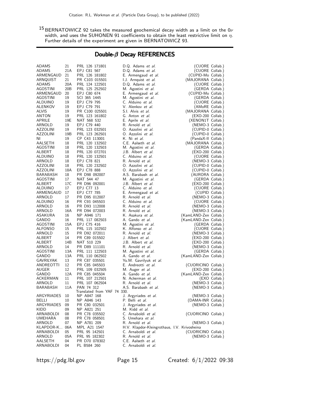$^{15}$ BERNATOWICZ 92 takes the measured geochemical decay width as a limit on the 0 $\nu$ width, and uses the SUHONEN 91 coefficients to obtain the least restrictive limit on  $\eta.$ Further details of the experiment are given in BERNATOWICZ 93.

# Double-β Decay REFERENCES

| ADAMS           | 21              | PRL 126 171801                            | D.Q. Adams et al.                            | (CUORE Collab.)       |
|-----------------|-----------------|-------------------------------------------|----------------------------------------------|-----------------------|
| ADAMS           | 21A             | EPJ C81 567                               | D.Q. Adams et al.                            | (CUORE Collab.)       |
| ARMENGAUD       | 21              | PRL 126 181802                            | E. Armengaud et al.                          | (CUPID-Mo Collab.)    |
| ARNQUIST        | 21              | PR C103 015501                            | I.J. Arnquist et al.                         | (MAJORANA Collab.)    |
| ADAMS           | 20A             | PRL 124 122501                            | D.Q. Adams et al.                            | (CUORE Collab.)       |
| AGOSTINI        | 20 <sub>B</sub> | PRL 125 252502                            | M. Agostini et al.                           | (GERDA Collab.)       |
| ARMENGAUD       | 20              | EPJ C80 674                               | E. Armengaud et al.                          | (CUPID-Mo Collab.)    |
| AGOSTINI        | 19              | SCI 365 1445                              | M. Agostini <i>et al.</i>                    | (GERDA Collab.)       |
| ALDUINO         | 19              | EPJ C79 795                               | C. Alduino et al.                            | (CUORE Collab.)       |
| ALENKOV         | 19              | EPJ C79 791                               | V. Alenkov <i>et al.</i>                     | (AMoRE Collab.)       |
| ALVIS           | 19              | PR C100 025501                            | S.I. Alvis et al.                            | (MAJORANA Collab.)    |
| ANTON           | 19              | PRL 123 161802                            | G. Anton <i>et al.</i>                       | (EXO-200 Collab.)     |
| APRILE          | 19E             | NAT 568 532                               | E. Aprile et al.                             | (XENON1T Collab.)     |
| ARNOLD          | 19              | EPJ C79 440                               | R. Arnold <i>et al.</i>                      | (NEMO-3 Collab.)      |
| AZZOLINI        | 19              | PRL 123 032501                            | O. Azzolini et al.                           | (CUPID-0 Collab.)     |
| AZZOLINI        | 19B             | PRL 123 262501                            | O. Azzolini et al.                           | (CUPID-0 Collab.)     |
| ΝI              | 19              | CP C43 113001                             | K. Ni et al.                                 | (PandaX-II Collab.)   |
| AALSETH         | 18              | PRL 120 132502                            | C.E. Aalseth et al.                          | (MAJORANA Collab.)    |
| AGOSTINI        | 18              | PRL 120 132503                            | M. Agostini <i>et al.</i>                    | (GERDA Collab.)       |
| ALBERT          | 18              | PRL 120 072701                            | J.B. Albert et al.                           | (EXO-200 Collab.)     |
| ALDUINO         | 18              | PRL 120 132501                            | C. Alduino et al.                            | (CUORE Collab.)       |
| ARNOLD          | 18              | EPJ C78 821                               | R. Arnold <i>et al.</i>                      | (NEMO-3 Collab.)      |
| <b>AZZOLINI</b> | 18              | PRL 120 232502                            | O. Azzolini et al.                           | (CUPID-0 Collab.)     |
| <b>AZZOLINI</b> | 18A             | EPJ C78 888                               | O. Azzolini et al.                           | (CUPID-0 Collab.)     |
| BARABASH        | 18              | PR D98 092007                             | A.S. Barabash et al.                         | (AURORA Collab.)      |
| AGOSTINI        | 17              | NAT 544 47                                | M. Agostini et al.                           | (GERDA Collab.)       |
| ALBERT          | 17C             | PR D96 092001                             | J.B. Albert <i>et al.</i>                    | (EXO-200 Collab.)     |
| <b>ALDUINO</b>  | 17              | EPJ C77 13                                | C. Alduino et al.                            | (CUORE Collab.)       |
| ARMENGAUD       | 17              | EPJ C77 785                               | E. Armengaud et al.                          | (CUPID Collab.)       |
| ARNOLD          | 17              | PR D95 012007                             | R. Arnold et al.                             | (NEMO-3 Collab.)      |
| ALDUINO         | 16              | PR C93 045503                             | C. Alduino et al.                            | (CUORE Collab.)       |
| ARNOLD          | 16              | PR D93 112008                             | R. Arnold et al.                             | (NEMO-3 Collab.)      |
| ARNOLD          | 16A             | PR D94 072003                             | R. Arnold et al.                             | (NEMO-3 Collab.)      |
| ASAKURA         | 16              | NP A946 171                               | K. Asakura et al.                            | (KamLAND-Zen Collab.) |
| GANDO           | 16              | PRL 117 082503                            | A. Gando <i>et al.</i>                       | (KamLAND-Zen Collab.) |
| AGOSTINI        | 15A             | EPJ C75 416                               | M. Agostini <i>et al.</i>                    | (GERDA Collab.)       |
| ALFONSO         | 15              | PRL 115 102502                            | K. Alfonso et al.                            | (CUORE Collab.)       |
| ARNOLD          | 15              | PR D92 072011                             | R. Arnold <i>et al.</i>                      | (NEMO-3 Collab.)      |
| ALBERT          | 14              | PR C89 015502                             | J. Albert <i>et al.</i>                      | (EXO-200 Collab.)     |
| ALBERT          | 14B             | NAT 510 229                               | J.B. Albert et al.                           | (EXO-200 Collab.)     |
| ARNOLD          | 14              | PR D89 111101                             | R. Arnold <i>et al.</i>                      | (NEMO-3 Collab.)      |
| AGOSTINI        | 13A             | PRL 111 122503                            | M. Agostini <i>et al.</i>                    | (GERDA Collab.)       |
| GANDO           | 13A             | PRL 110 062502                            | A. Gando <i>et al.</i>                       | (KamLAND-Zen Collab.) |
| GAVRILYAK       | 13              | PR C87 035501                             | Yu.M. Gavrilyuk et al.                       |                       |
| ANDREOTTI       | 12              | PR C85 045503                             | E. Andreotti et al.                          | (CUORICINO Collab.)   |
| AUGER           | 12              | PRL 109 032505                            | M. Auger <i>et al.</i>                       | (EXO-200 Collab.)     |
| GANDO           | 12A             | PR C85 045504                             | A. Gando <i>et al.</i>                       | (KamLAND-Zen Collab.) |
| ACKERMAN        | 11              | PRL 107 212501                            | N. Ackerman et al.                           | (EXO Collab.)         |
| ARNOLD          | 11              | PRL 107 062504                            | R. Arnold <i>et al.</i>                      | (NEMO-3 Collab.)      |
| BARABASH        | 11A             | PAN 74 312<br>Translated from YAF 74 330. | A.S. Barabash <i>et al.</i>                  | (NEMO-3 Collab.)      |
| ARGYRIADES      | 10              | NP A847 168                               | J. Argyriades <i>et al.</i>                  | (NEMO-3 Collab.)      |
| BELLI           | 10              | NP A846 143                               | P. Belli et al.                              | (DAMA-INR Collab.)    |
| ARGYRIADES      | 09              | PR C80 032501                             | J. Argyriades et al.                         | (NEMO-3 Collab.)      |
| KIDD            | 09              | NP A821 251                               | M. Kidd et al.                               |                       |
| ARNABOLDI       | 08              | PR C78 035502                             | C. Arnaboldi et al.                          | (CUORICINO Collab.)   |
| UMEHARA         | 08              | PR C78 058501                             | S. Umehara <i>et al.</i>                     |                       |
| ARNOLD          | 07              | NP A781 209                               | R. Arnold et al.                             | (NEMO-3 Collab.)      |
| KLAPDOR-K       | 06A             | MPL A21 1547                              | H.V. Klapdor-Kleingrothaus, I.V. Krivosheina |                       |
| ARNABOLDI       | 05              | PRL 95 142501                             | C. Arnaboldi et al.                          | (CUORICINO Collab.)   |
| ARNOLD          | 05A             | PRL 95 182302                             | R. Arnold et al.                             | (NEMO-3 Collab.)      |
| AALSETH         | 04              | PR D70 078302                             | C.E. Aalseth et al.                          |                       |
| ARNABOLDI       | 04              | PL B584 260                               | C. Arnaboldi et al.                          |                       |